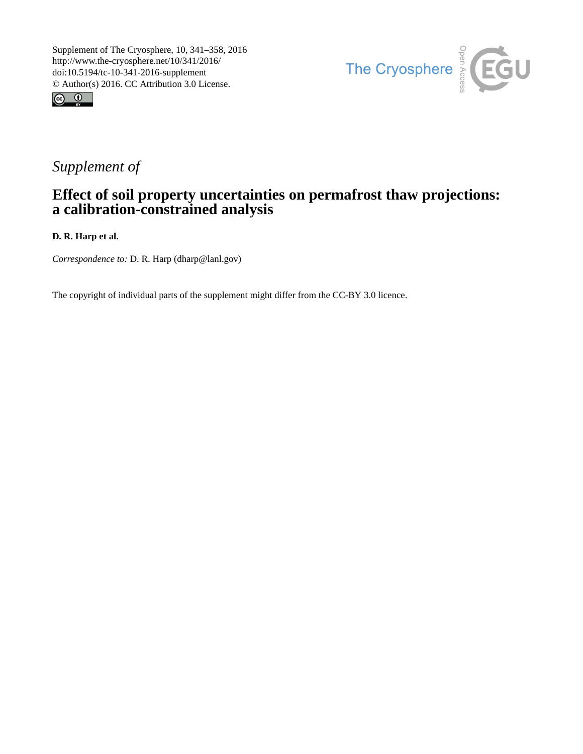



## *Supplement of*

## **Effect of soil property uncertainties on permafrost thaw projections: a calibration-constrained analysis**

**D. R. Harp et al.**

*Correspondence to:* D. R. Harp (dharp@lanl.gov)

The copyright of individual parts of the supplement might differ from the CC-BY 3.0 licence.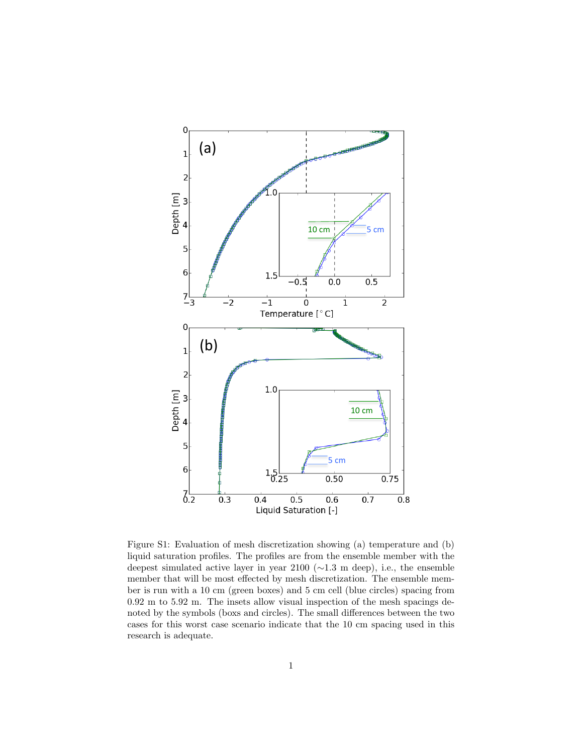

Figure S1: Evaluation of mesh discretization showing (a) temperature and (b) liquid saturation profiles. The profiles are from the ensemble member with the deepest simulated active layer in year 2100 (∼1.3 m deep), i.e., the ensemble member that will be most effected by mesh discretization. The ensemble member is run with a 10 cm (green boxes) and 5 cm cell (blue circles) spacing from 0.92 m to 5.92 m. The insets allow visual inspection of the mesh spacings denoted by the symbols (boxs and circles). The small differences between the two cases for this worst case scenario indicate that the 10 cm spacing used in this research is adequate.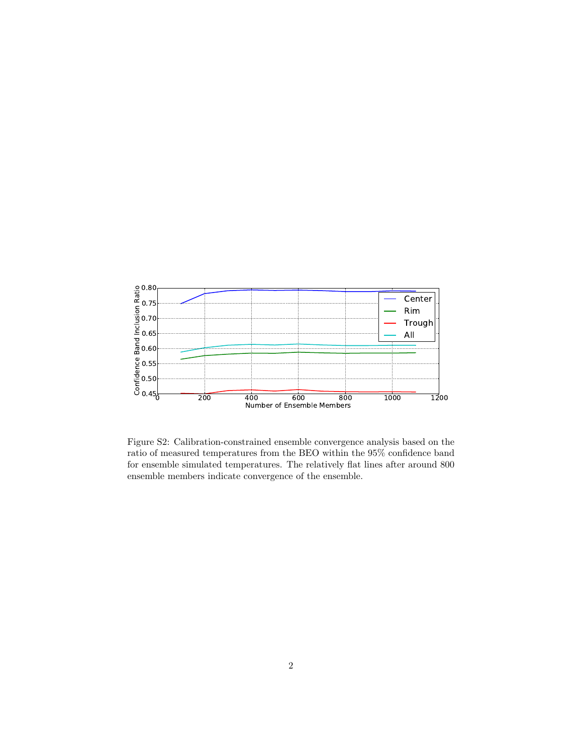

Figure S2: Calibration-constrained ensemble convergence analysis based on the ratio of measured temperatures from the BEO within the 95% confidence band for ensemble simulated temperatures. The relatively flat lines after around 800 ensemble members indicate convergence of the ensemble.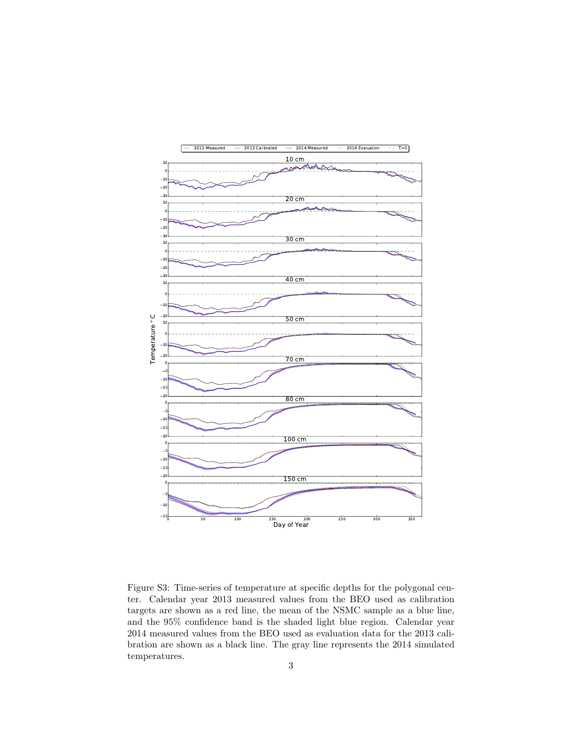

Figure S3: Time-series of temperature at specific depths for the polygonal center. Calendar year 2013 measured values from the BEO used as calibration targets are shown as a red line, the mean of the NSMC sample as a blue line, and the 95% confidence band is the shaded light blue region. Calendar year 2014 measured values from the BEO used as evaluation data for the 2013 calibration are shown as a black line. The gray line represents the 2014 simulated temperatures.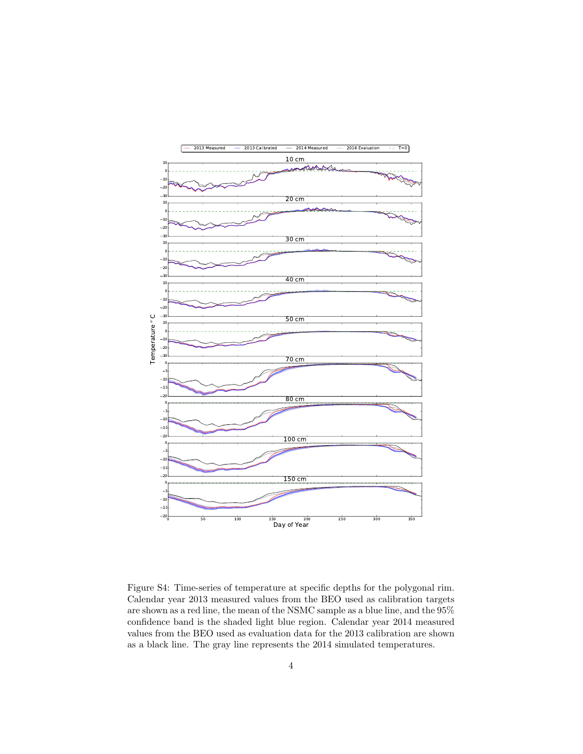

Figure S4: Time-series of temperature at specific depths for the polygonal rim. Calendar year 2013 measured values from the BEO used as calibration targets are shown as a red line, the mean of the NSMC sample as a blue line, and the 95% confidence band is the shaded light blue region. Calendar year 2014 measured values from the BEO used as evaluation data for the 2013 calibration are shown as a black line. The gray line represents the 2014 simulated temperatures.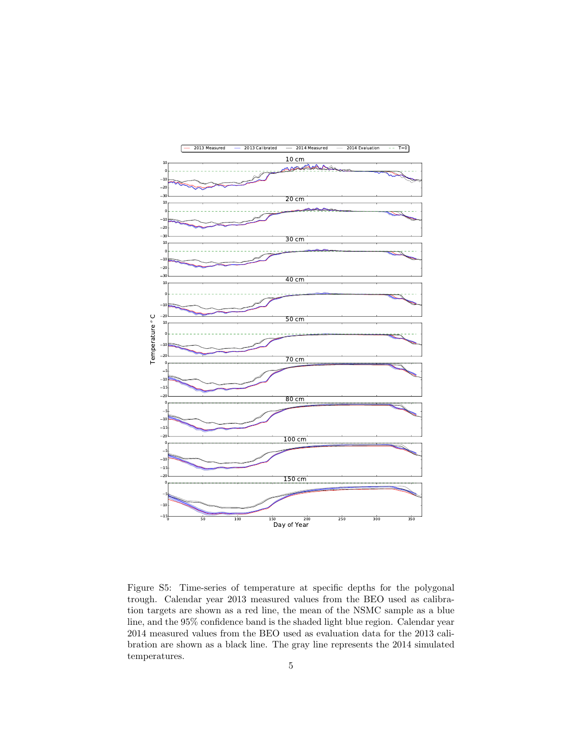

Figure S5: Time-series of temperature at specific depths for the polygonal trough. Calendar year 2013 measured values from the BEO used as calibration targets are shown as a red line, the mean of the NSMC sample as a blue line, and the 95% confidence band is the shaded light blue region. Calendar year 2014 measured values from the BEO used as evaluation data for the 2013 calibration are shown as a black line. The gray line represents the 2014 simulated temperatures.